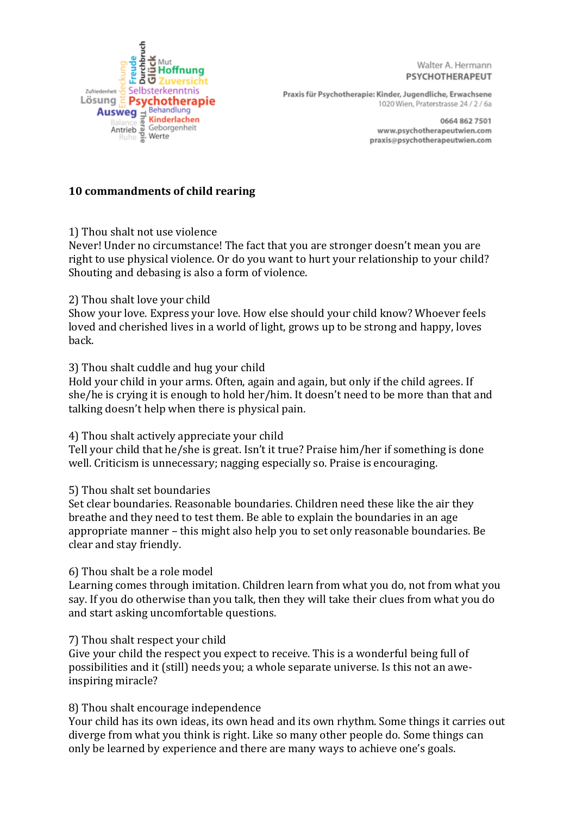

Walter A. Hermann PSYCHOTHERAPEUT

Praxis für Psychotherapie: Kinder, Jugendliche, Erwachsene 1020 Wien, Praterstrasse 24 / 2 / 6a

> 0664 862 7501 www.psychotherapeutwien.com praxis@psychotherapeutwien.com

# **10 commandments of child rearing**

1) Thou shalt not use violence

Never! Under no circumstance! The fact that you are stronger doesn't mean you are right to use physical violence. Or do you want to hurt your relationship to your child? Shouting and debasing is also a form of violence.

### 2) Thou shalt love your child

Show your love. Express your love. How else should your child know? Whoever feels loved and cherished lives in a world of light, grows up to be strong and happy, loves back.

# 3) Thou shalt cuddle and hug your child

Hold your child in your arms. Often, again and again, but only if the child agrees. If she/he is crying it is enough to hold her/him. It doesn't need to be more than that and talking doesn't help when there is physical pain.

### 4) Thou shalt actively appreciate your child

Tell your child that he/she is great. Isn't it true? Praise him/her if something is done well. Criticism is unnecessary; nagging especially so. Praise is encouraging.

# 5) Thou shalt set boundaries

Set clear boundaries. Reasonable boundaries. Children need these like the air they breathe and they need to test them. Be able to explain the boundaries in an age appropriate manner – this might also help you to set only reasonable boundaries. Be clear and stay friendly.

### 6) Thou shalt be a role model

Learning comes through imitation. Children learn from what you do, not from what you say. If you do otherwise than you talk, then they will take their clues from what you do and start asking uncomfortable questions.

### 7) Thou shalt respect your child

Give your child the respect you expect to receive. This is a wonderful being full of possibilities and it (still) needs you; a whole separate universe. Is this not an aweinspiring miracle?

# 8) Thou shalt encourage independence

Your child has its own ideas, its own head and its own rhythm. Some things it carries out diverge from what you think is right. Like so many other people do. Some things can only be learned by experience and there are many ways to achieve one's goals.